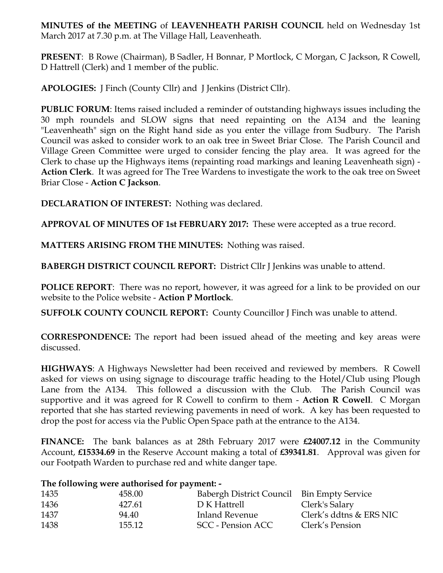**MINUTES of the MEETING** of **LEAVENHEATH PARISH COUNCIL** held on Wednesday 1st March 2017 at 7.30 p.m. at The Village Hall, Leavenheath.

**PRESENT**: B Rowe (Chairman), B Sadler, H Bonnar, P Mortlock, C Morgan, C Jackson, R Cowell, D Hattrell (Clerk) and 1 member of the public.

**APOLOGIES:** J Finch (County Cllr) and J Jenkins (District Cllr).

**PUBLIC FORUM**: Items raised included a reminder of outstanding highways issues including the 30 mph roundels and SLOW signs that need repainting on the A134 and the leaning "Leavenheath" sign on the Right hand side as you enter the village from Sudbury. The Parish Council was asked to consider work to an oak tree in Sweet Briar Close. The Parish Council and Village Green Committee were urged to consider fencing the play area. It was agreed for the Clerk to chase up the Highways items (repainting road markings and leaning Leavenheath sign) - **Action Clerk**. It was agreed for The Tree Wardens to investigate the work to the oak tree on Sweet Briar Close - **Action C Jackson**.

**DECLARATION OF INTEREST:** Nothing was declared.

**APPROVAL OF MINUTES OF 1st FEBRUARY 2017:** These were accepted as a true record.

**MATTERS ARISING FROM THE MINUTES:** Nothing was raised.

**BABERGH DISTRICT COUNCIL REPORT:** District Cllr J Jenkins was unable to attend.

**POLICE REPORT:** There was no report, however, it was agreed for a link to be provided on our website to the Police website - **Action P Mortlock**.

**SUFFOLK COUNTY COUNCIL REPORT:** County Councillor J Finch was unable to attend.

**CORRESPONDENCE:** The report had been issued ahead of the meeting and key areas were discussed.

**HIGHWAYS**: A Highways Newsletter had been received and reviewed by members. R Cowell asked for views on using signage to discourage traffic heading to the Hotel/Club using Plough Lane from the A134. This followed a discussion with the Club. The Parish Council was supportive and it was agreed for R Cowell to confirm to them - **Action R Cowell**. C Morgan reported that she has started reviewing pavements in need of work. A key has been requested to drop the post for access via the Public Open Space path at the entrance to the A134.

**FINANCE:** The bank balances as at 28th February 2017 were **£24007.12** in the Community Account, **£15334.69** in the Reserve Account making a total of **£39341.81**. Approval was given for our Footpath Warden to purchase red and white danger tape.

## **The following were authorised for payment: -**

| 1435 | 458.00 | Babergh District Council Bin Empty Service |                         |
|------|--------|--------------------------------------------|-------------------------|
| 1436 | 427.61 | D K Hattrell                               | Clerk's Salary          |
| 1437 | 94.40  | Inland Revenue                             | Clerk's ddtns & ERS NIC |
| 1438 | 155.12 | SCC - Pension ACC                          | Clerk's Pension         |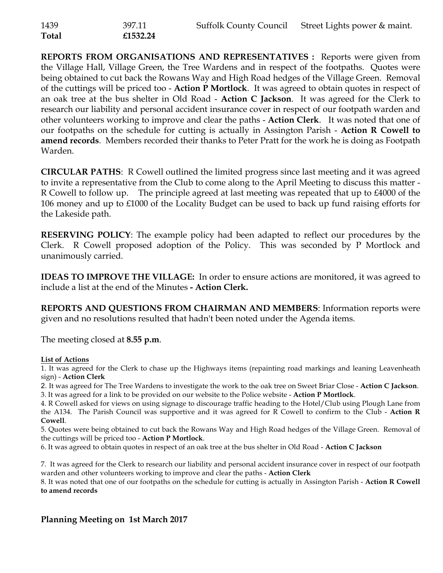| 1439         | 397.11   | Suffolk County Council Street Lights power & maint. |
|--------------|----------|-----------------------------------------------------|
| <b>Total</b> | £1532.24 |                                                     |

**REPORTS FROM ORGANISATIONS AND REPRESENTATIVES :** Reports were given from the Village Hall, Village Green, the Tree Wardens and in respect of the footpaths. Quotes were being obtained to cut back the Rowans Way and High Road hedges of the Village Green. Removal of the cuttings will be priced too - **Action P Mortlock**. It was agreed to obtain quotes in respect of an oak tree at the bus shelter in Old Road - **Action C Jackson**. It was agreed for the Clerk to research our liability and personal accident insurance cover in respect of our footpath warden and other volunteers working to improve and clear the paths - **Action Clerk**. It was noted that one of our footpaths on the schedule for cutting is actually in Assington Parish - **Action R Cowell to amend records**. Members recorded their thanks to Peter Pratt for the work he is doing as Footpath Warden.

**CIRCULAR PATHS**: R Cowell outlined the limited progress since last meeting and it was agreed to invite a representative from the Club to come along to the April Meeting to discuss this matter - R Cowell to follow up. The principle agreed at last meeting was repeated that up to £4000 of the 106 money and up to £1000 of the Locality Budget can be used to back up fund raising efforts for the Lakeside path.

**RESERVING POLICY**: The example policy had been adapted to reflect our procedures by the Clerk. R Cowell proposed adoption of the Policy. This was seconded by P Mortlock and unanimously carried.

**IDEAS TO IMPROVE THE VILLAGE:** In order to ensure actions are monitored, it was agreed to include a list at the end of the Minutes **- Action Clerk.** 

**REPORTS AND QUESTIONS FROM CHAIRMAN AND MEMBERS**: Information reports were given and no resolutions resulted that hadn't been noted under the Agenda items.

The meeting closed at **8.55 p.m**.

## **List of Actions**

1. It was agreed for the Clerk to chase up the Highways items (repainting road markings and leaning Leavenheath sign) - **Action Clerk**

2. It was agreed for The Tree Wardens to investigate the work to the oak tree on Sweet Briar Close - **Action C Jackson**. 3. It was agreed for a link to be provided on our website to the Police website - **Action P Mortlock**.

4. R Cowell asked for views on using signage to discourage traffic heading to the Hotel/Club using Plough Lane from the A134. The Parish Council was supportive and it was agreed for R Cowell to confirm to the Club - **Action R Cowell**.

5. Quotes were being obtained to cut back the Rowans Way and High Road hedges of the Village Green. Removal of the cuttings will be priced too - **Action P Mortlock**.

6. It was agreed to obtain quotes in respect of an oak tree at the bus shelter in Old Road - **Action C Jackson**

7. It was agreed for the Clerk to research our liability and personal accident insurance cover in respect of our footpath warden and other volunteers working to improve and clear the paths - **Action Clerk**

8. It was noted that one of our footpaths on the schedule for cutting is actually in Assington Parish - **Action R Cowell to amend records**

## **Planning Meeting on 1st March 2017**